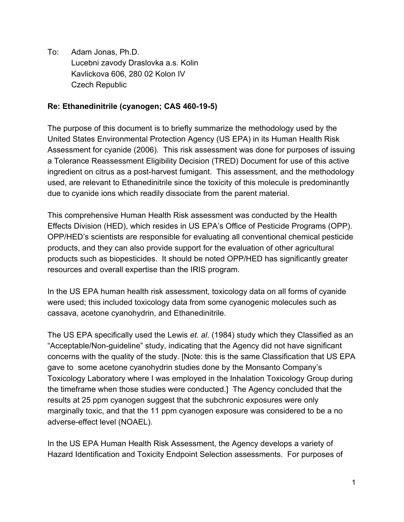To: Adam Jonas, Ph.D. Lucebni zavody Draslovka a.s. Kolin Kavlickova 606, 280 02 Kolon IV Czech Republic

## **Re: Ethanedinitrile (cyanogen; CAS 460-19-5)**

The purpose of this document is to briefly summarize the methodology used by the United States Environmental Protection Agency (US EPA) in its Human Health Risk Assessment for cyanide (2006). This risk assessment was done for purposes of issuing a Tolerance Reassessment Eligibility Decision (TRED) Document for use of this active ingredient on citrus as a post-harvest fumigant. This assessment, and the methodology used, are relevant to Ethanedinitrile since the toxicity of this molecule is predominantly due to cyanide ions which readily dissociate from the parent material.

This comprehensive Human Health Risk assessment was conducted by the Health Effects Division (HED), which resides in US EPA's Office of Pesticide Programs (OPP). OPP/HED's scientists are responsible for evaluating all conventional chemical pesticide products, and they can also provide support for the evaluation of other agricultural products such as biopesticides. It should be noted OPP/HED has significantly greater resources and overall expertise than the IRIS program.

In the US EPA human health risk assessment, toxicology data on all forms of cyanide were used; this included toxicology data from some cyanogenic molecules such as cassava, acetone cyanohydrin, and Ethanedinitrile.

The US EPA specifically used the Lewis *et. al*. (1984) study which they Classified as an "Acceptable/Non-guideline" study, indicating that the Agency did not have significant concerns with the quality of the study. [Note: this is the same Classification that US EPA gave to some acetone cyanohydrin studies done by the Monsanto Company's Toxicology Laboratory where I was employed in the Inhalation Toxicology Group during the timeframe when those studies were conducted.] The Agency concluded that the results at 25 ppm cyanogen suggest that the subchronic exposures were only marginally toxic, and that the 11 ppm cyanogen exposure was considered to be a no adverse-effect level (NOAEL).

In the US EPA Human Health Risk Assessment, the Agency develops a variety of Hazard Identification and Toxicity Endpoint Selection assessments. For purposes of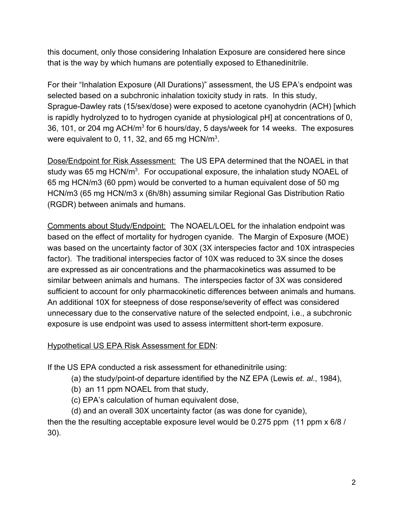this document, only those considering Inhalation Exposure are considered here since that is the way by which humans are potentially exposed to Ethanedinitrile.

For their "Inhalation Exposure (All Durations)" assessment, the US EPA's endpoint was selected based on a subchronic inhalation toxicity study in rats. In this study, Sprague-Dawley rats (15/sex/dose) were exposed to acetone cyanohydrin (ACH) [which is rapidly hydrolyzed to to hydrogen cyanide at physiological pH] at concentrations of 0, 36, 101, or 204 mg ACH/m<sup>3</sup> for 6 hours/day, 5 days/week for 14 weeks. The exposures were equivalent to 0, 11, 32, and 65 mg HCN/m<sup>3</sup>.

Dose/Endpoint for Risk Assessment: The US EPA determined that the NOAEL in that study was 65 mg HCN/m<sup>3</sup>. For occupational exposure, the inhalation study NOAEL of 65 mg HCN/m3 (60 ppm) would be converted to a human equivalent dose of 50 mg HCN/m3 (65 mg HCN/m3 x (6h/8h) assuming similar Regional Gas Distribution Ratio (RGDR) between animals and humans.

Comments about Study/Endpoint: The NOAEL/LOEL for the inhalation endpoint was based on the effect of mortality for hydrogen cyanide. The Margin of Exposure (MOE) was based on the uncertainty factor of 30X (3X interspecies factor and 10X intraspecies factor). The traditional interspecies factor of 10X was reduced to 3X since the doses are expressed as air concentrations and the pharmacokinetics was assumed to be similar between animals and humans. The interspecies factor of 3X was considered sufficient to account for only pharmacokinetic differences between animals and humans. An additional 10X for steepness of dose response/severity of effect was considered unnecessary due to the conservative nature of the selected endpoint, i.e., a subchronic exposure is use endpoint was used to assess intermittent short-term exposure.

## Hypothetical US EPA Risk Assessment for EDN:

If the US EPA conducted a risk assessment for ethanedinitrile using:

(a) the study/point-of departure identified by the NZ EPA (Lewis *et. al*., 1984),

- (b) an 11 ppm NOAEL from that study,
- (c) EPA's calculation of human equivalent dose,
- (d) and an overall 30X uncertainty factor (as was done for cyanide),

then the the resulting acceptable exposure level would be 0.275 ppm (11 ppm x 6/8 / 30).